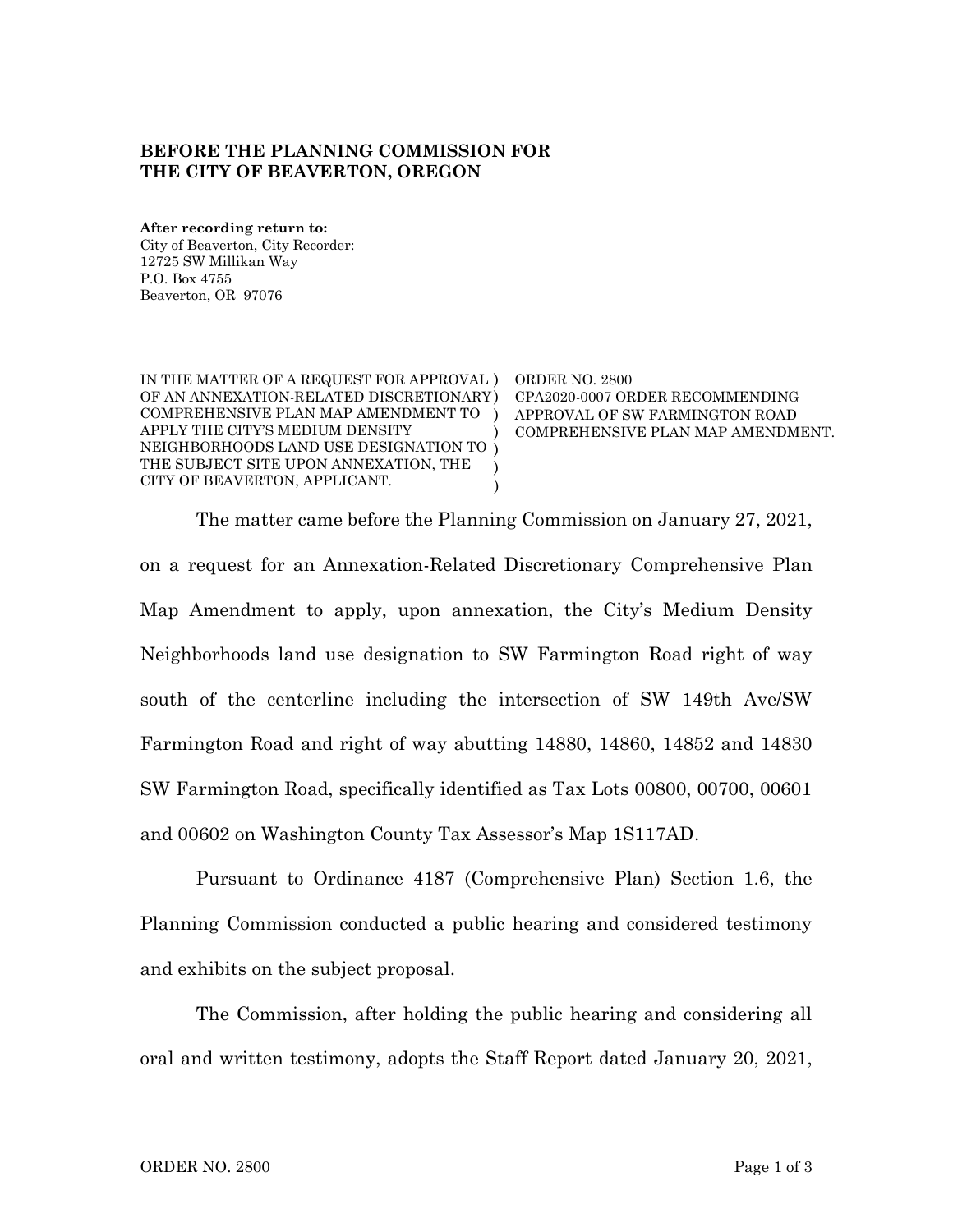## **BEFORE THE PLANNING COMMISSION FOR THE CITY OF BEAVERTON, OREGON**

**After recording return to:** City of Beaverton, City Recorder: 12725 SW Millikan Way P.O. Box 4755 Beaverton, OR 97076

IN THE MATTER OF A REQUEST FOR APPROVAL ) ORDER NO. 2800 OF AN ANNEXATION-RELATED DISCRETIONARY ) COMPREHENSIVE PLAN MAP AMENDMENT TO ) APPLY THE CITY'S MEDIUM DENSITY NEIGHBORHOODS LAND USE DESIGNATION TO ) THE SUBJECT SITE UPON ANNEXATION, THE CITY OF BEAVERTON, APPLICANT. ) ) )

CPA2020-0007 ORDER RECOMMENDING APPROVAL OF SW FARMINGTON ROAD COMPREHENSIVE PLAN MAP AMENDMENT.

The matter came before the Planning Commission on January 27, 2021, on a request for an Annexation-Related Discretionary Comprehensive Plan Map Amendment to apply, upon annexation, the City's Medium Density Neighborhoods land use designation to SW Farmington Road right of way south of the centerline including the intersection of SW 149th Ave/SW Farmington Road and right of way abutting 14880, 14860, 14852 and 14830 SW Farmington Road, specifically identified as Tax Lots 00800, 00700, 00601 and 00602 on Washington County Tax Assessor's Map 1S117AD.

Pursuant to Ordinance 4187 (Comprehensive Plan) Section 1.6, the Planning Commission conducted a public hearing and considered testimony and exhibits on the subject proposal.

The Commission, after holding the public hearing and considering all oral and written testimony, adopts the Staff Report dated January 20, 2021,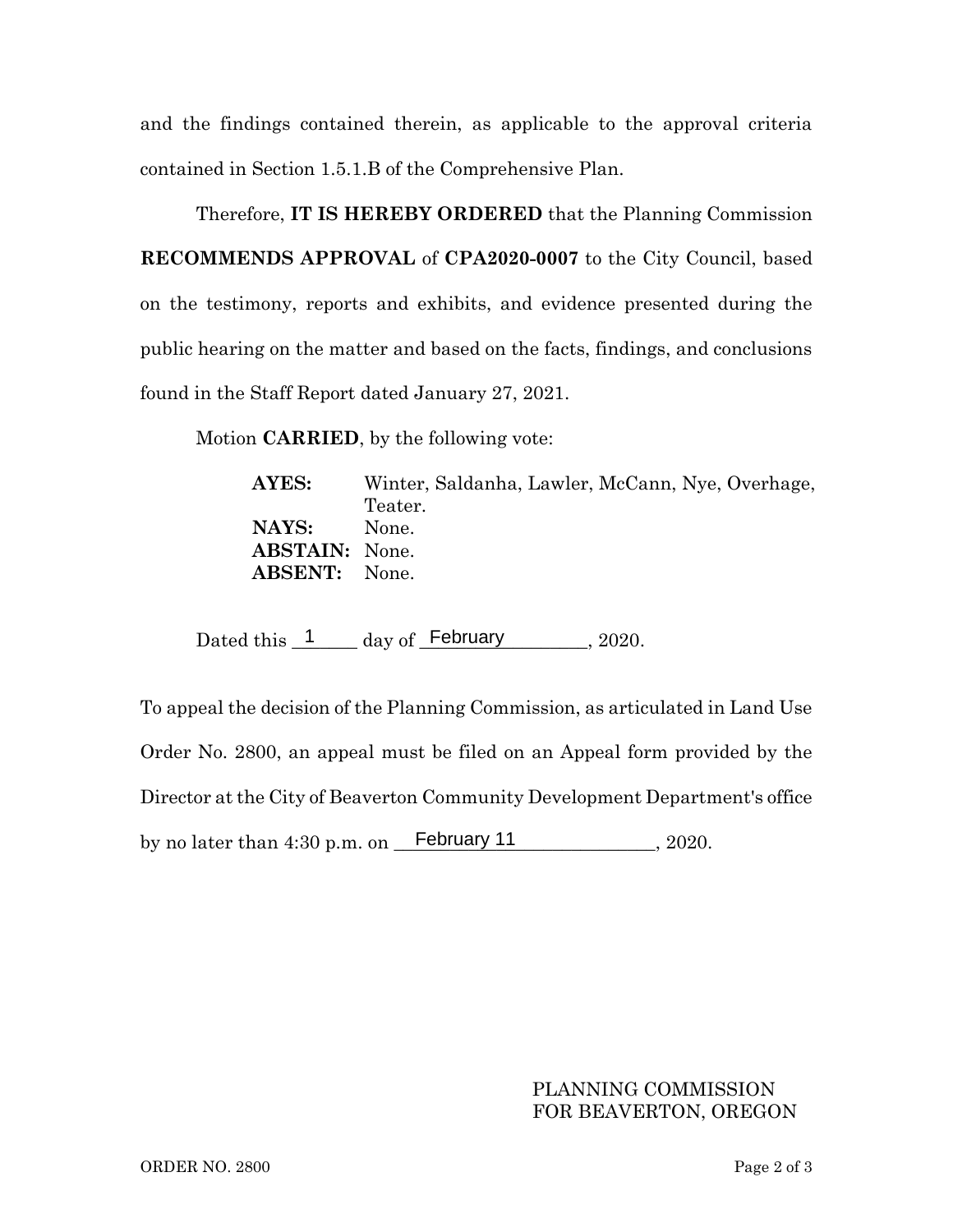and the findings contained therein, as applicable to the approval criteria contained in Section 1.5.1.B of the Comprehensive Plan.

Therefore, **IT IS HEREBY ORDERED** that the Planning Commission **RECOMMENDS APPROVAL** of **CPA2020-0007** to the City Council, based on the testimony, reports and exhibits, and evidence presented during the public hearing on the matter and based on the facts, findings, and conclusions found in the Staff Report dated January 27, 2021.

Motion **CARRIED**, by the following vote:

**AYES:** Winter, Saldanha, Lawler, McCann, Nye, Overhage, Teater. **NAYS:** None. **ABSTAIN:** None. **ABSENT:** None.

Dated this  $\frac{1}{2}$  day of February 2020.

To appeal the decision of the Planning Commission, as articulated in Land Use Order No. 2800, an appeal must be filed on an Appeal form provided by the Director at the City of Beaverton Community Development Department's office by no later than  $4:30$  p.m. on February 11  $\qquad \qquad$  2020.

## PLANNING COMMISSION FOR BEAVERTON, OREGON